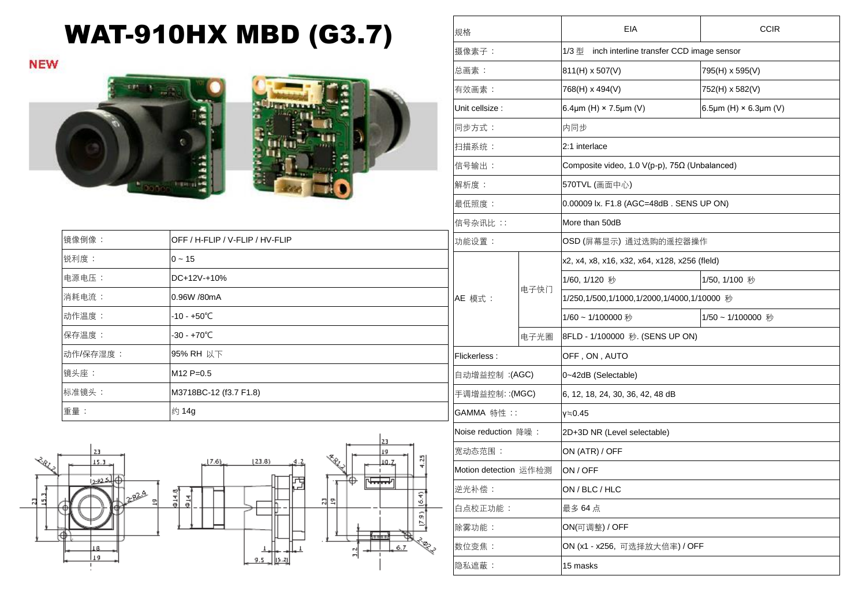## WAT-910HX MBD (G3.7)

**NEW** 





| 镜像倒像 :   | OFF / H-FLIP / V-FLIP / HV-FLIP | 功     |
|----------|---------------------------------|-------|
| 锐利度:     | $0 - 15$                        |       |
| 电源电压:    | DC+12V-+10%                     |       |
| 消耗电流:    | 0.96W /80mA                     | AE    |
| 动作温度:    | $-10 - +50^{\circ}$ C           |       |
| 保存温度:    | $-30 - +70^{\circ}C$            |       |
| 动作/保存湿度: | 95% RH 以下                       | l Fli |
| 镜头座:     | $M12 P=0.5$                     | 自     |
| 标准镜头:    | M3718BC-12 (f3.7 F1.8)          | 手     |
| 重量:      | 约 14g                           | G/    |



| 规格                    |      | EIA                                                      | <b>CCIR</b>                  |  |
|-----------------------|------|----------------------------------------------------------|------------------------------|--|
| 摄像素子:                 |      | 1/3型<br>inch interline transfer CCD image sensor         |                              |  |
| 总画素:                  |      | 811(H) x 507(V)                                          | 795(H) x 595(V)              |  |
| 有效画素:                 |      | 768(H) x 494(V)                                          | 752(H) x 582(V)              |  |
| Unit cellsize :       |      | 6.4 $\mu$ m (H) × 7.5 $\mu$ m (V)                        | 6.5µm (H) $\times$ 6.3µm (V) |  |
| 同步方式:                 |      | 内同步                                                      |                              |  |
| 扫描系统:                 |      | 2:1 interlace                                            |                              |  |
| 信号输出:                 |      | Composite video, 1.0 $V(p-p)$ , 75 $\Omega$ (Unbalanced) |                              |  |
| 解析度:                  |      | 570TVL (画面中心)                                            |                              |  |
| 最低照度:                 |      | 0.00009 lx. F1.8 (AGC=48dB. SENS UP ON)                  |                              |  |
| 信号杂讯比 : :             |      | More than 50dB                                           |                              |  |
| 功能设置:                 |      | OSD (屏幕显示) 通过选购的遥控器操作                                    |                              |  |
|                       |      | x2, x4, x8, x16, x32, x64, x128, x256 (fleld)            |                              |  |
|                       |      | 1/60, 1/120 秒                                            | 1/50, 1/100 秒                |  |
| AE 模式:                | 电子快门 | 1/250,1/500,1/1000,1/2000,1/4000,1/10000 秒               |                              |  |
|                       |      | 1/60~1/100000秒                                           | 1/50~1/100000 秒              |  |
|                       | 电子光圈 | 8FLD - 1/100000 秒. (SENS UP ON)                          |                              |  |
| Flickerless:          |      | OFF, ON, AUTO                                            |                              |  |
| 自动增益控制 :(AGC)         |      | 0~42dB (Selectable)                                      |                              |  |
| 手调增益控制:(MGC)          |      | 6, 12, 18, 24, 30, 36, 42, 48 dB                         |                              |  |
| GAMMA 特性::            |      | γ≒0.45                                                   |                              |  |
| Noise reduction 降噪:   |      | 2D+3D NR (Level selectable)                              |                              |  |
| 宽动态范围:                |      | ON (ATR) / OFF                                           |                              |  |
| Motion detection 运作检测 |      | ON / OFF                                                 |                              |  |
| 逆光补偿:                 |      | ON / BLC / HLC                                           |                              |  |
| 白点校正功能:               |      | 最多 64点                                                   |                              |  |
| 除雾功能:                 |      | ON(可调整) / OFF                                            |                              |  |
| 数位变焦:                 |      | ON (x1 - x256, 可选择放大倍率) / OFF                            |                              |  |
| 隐私遮蔽:                 |      | 15 masks                                                 |                              |  |